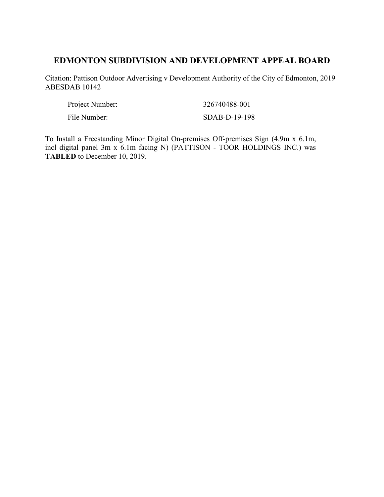# **EDMONTON SUBDIVISION AND DEVELOPMENT APPEAL BOARD**

Citation: Pattison Outdoor Advertising v Development Authority of the City of Edmonton, 2019 ABESDAB 10142

| Project Number: | 326740488-001 |
|-----------------|---------------|
| File Number:    | SDAB-D-19-198 |

To Install a Freestanding Minor Digital On-premises Off-premises Sign (4.9m x 6.1m, incl digital panel 3m x 6.1m facing N) (PATTISON - TOOR HOLDINGS INC.) was **TABLED** to December 10, 2019.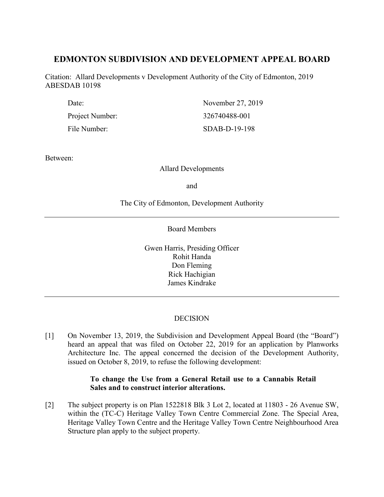# **EDMONTON SUBDIVISION AND DEVELOPMENT APPEAL BOARD**

Citation: Allard Developments v Development Authority of the City of Edmonton, 2019 ABESDAB 10198

| Date:           | November 27, 2019 |
|-----------------|-------------------|
| Project Number: | 326740488-001     |
| File Number:    | $SDAB-D-19-198$   |

Between:

## Allard Developments

and

The City of Edmonton, Development Authority

Board Members

Gwen Harris, Presiding Officer Rohit Handa Don Fleming Rick Hachigian James Kindrake

## **DECISION**

[1] On November 13, 2019, the Subdivision and Development Appeal Board (the "Board") heard an appeal that was filed on October 22, 2019 for an application by Planworks Architecture Inc. The appeal concerned the decision of the Development Authority, issued on October 8, 2019, to refuse the following development:

## **To change the Use from a General Retail use to a Cannabis Retail Sales and to construct interior alterations.**

[2] The subject property is on Plan 1522818 Blk 3 Lot 2, located at 11803 - 26 Avenue SW, within the (TC-C) Heritage Valley Town Centre Commercial Zone. The Special Area, Heritage Valley Town Centre and the Heritage Valley Town Centre Neighbourhood Area Structure plan apply to the subject property.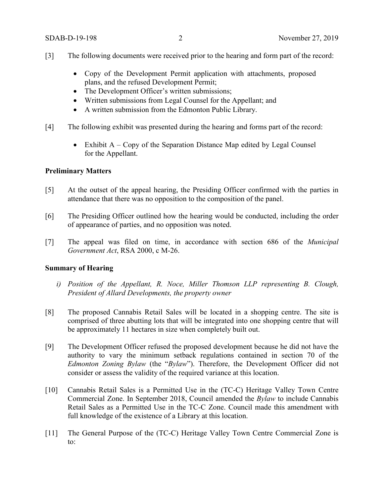- [3] The following documents were received prior to the hearing and form part of the record:
	- Copy of the Development Permit application with attachments, proposed plans, and the refused Development Permit;
	- The Development Officer's written submissions;
	- Written submissions from Legal Counsel for the Appellant; and
	- A written submission from the Edmonton Public Library.
- [4] The following exhibit was presented during the hearing and forms part of the record:
	- Exhibit  $A Copy$  of the Separation Distance Map edited by Legal Counsel for the Appellant.

### **Preliminary Matters**

- [5] At the outset of the appeal hearing, the Presiding Officer confirmed with the parties in attendance that there was no opposition to the composition of the panel.
- [6] The Presiding Officer outlined how the hearing would be conducted, including the order of appearance of parties, and no opposition was noted.
- [7] The appeal was filed on time, in accordance with section 686 of the *Municipal Government Act*, RSA 2000, c M-26.

## **Summary of Hearing**

- *i) Position of the Appellant, R. Noce, Miller Thomson LLP representing B. Clough, President of Allard Developments, the property owner*
- [8] The proposed Cannabis Retail Sales will be located in a shopping centre. The site is comprised of three abutting lots that will be integrated into one shopping centre that will be approximately 11 hectares in size when completely built out.
- [9] The Development Officer refused the proposed development because he did not have the authority to vary the minimum setback regulations contained in section 70 of the *Edmonton Zoning Bylaw* (the "*Bylaw*"). Therefore, the Development Officer did not consider or assess the validity of the required variance at this location.
- [10] Cannabis Retail Sales is a Permitted Use in the (TC-C) Heritage Valley Town Centre Commercial Zone. In September 2018, Council amended the *Bylaw* to include Cannabis Retail Sales as a Permitted Use in the TC-C Zone. Council made this amendment with full knowledge of the existence of a Library at this location.
- [11] The General Purpose of the (TC-C) Heritage Valley Town Centre Commercial Zone is to: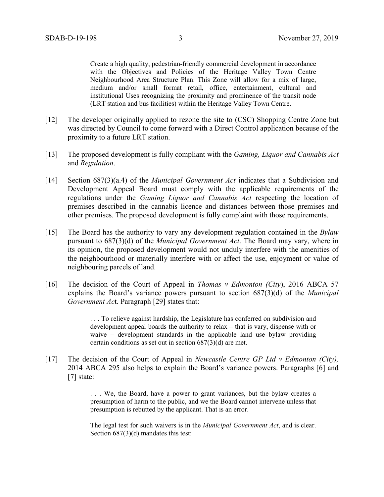Create a high quality, pedestrian-friendly commercial development in accordance with the Objectives and Policies of the Heritage Valley Town Centre Neighbourhood Area Structure Plan. This Zone will allow for a mix of large, medium and/or small format retail, office, entertainment, cultural and institutional Uses recognizing the proximity and prominence of the transit node (LRT station and bus facilities) within the Heritage Valley Town Centre.

- [12] The developer originally applied to rezone the site to (CSC) Shopping Centre Zone but was directed by Council to come forward with a Direct Control application because of the proximity to a future LRT station.
- [13] The proposed development is fully compliant with the *Gaming, Liquor and Cannabis Act*  and *Regulation*.
- [14] Section 687(3)(a.4) of the *Municipal Government Act* indicates that a Subdivision and Development Appeal Board must comply with the applicable requirements of the regulations under the *Gaming Liquor and Cannabis Act* respecting the location of premises described in the cannabis licence and distances between those premises and other premises. The proposed development is fully complaint with those requirements.
- [15] The Board has the authority to vary any development regulation contained in the *Bylaw* pursuant to 687(3)(d) of the *Municipal Government Act*. The Board may vary, where in its opinion, the proposed development would not unduly interfere with the amenities of the neighbourhood or materially interfere with or affect the use, enjoyment or value of neighbouring parcels of land.
- [16] The decision of the Court of Appeal in *Thomas v Edmonton (City*), 2016 ABCA 57 explains the Board's variance powers pursuant to section 687(3)(d) of the *Municipal Government Ac*t. Paragraph [29] states that:

. . . To relieve against hardship, the Legislature has conferred on subdivision and development appeal boards the authority to relax – that is vary, dispense with or waive – development standards in the applicable land use bylaw providing certain conditions as set out in section 687(3)(d) are met.

[17] The decision of the Court of Appeal in *Newcastle Centre GP Ltd v Edmonton (City),* 2014 ABCA 295 also helps to explain the Board's variance powers. Paragraphs [6] and [7] state:

> . . . We, the Board, have a power to grant variances, but the bylaw creates a presumption of harm to the public, and we the Board cannot intervene unless that presumption is rebutted by the applicant. That is an error.

> The legal test for such waivers is in the *Municipal Government Act*, and is clear. Section  $687(3)(d)$  mandates this test: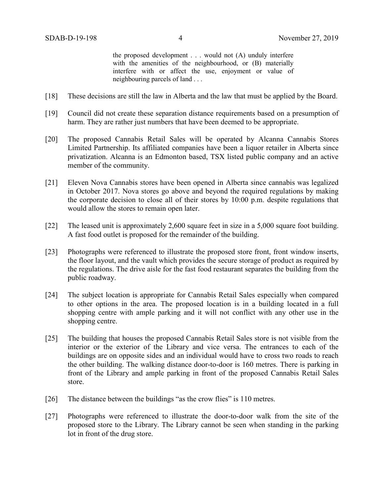the proposed development . . . would not (A) unduly interfere with the amenities of the neighbourhood, or  $(B)$  materially interfere with or affect the use, enjoyment or value of neighbouring parcels of land . . .

- [18] These decisions are still the law in Alberta and the law that must be applied by the Board.
- [19] Council did not create these separation distance requirements based on a presumption of harm. They are rather just numbers that have been deemed to be appropriate.
- [20] The proposed Cannabis Retail Sales will be operated by Alcanna Cannabis Stores Limited Partnership. Its affiliated companies have been a liquor retailer in Alberta since privatization. Alcanna is an Edmonton based, TSX listed public company and an active member of the community.
- [21] Eleven Nova Cannabis stores have been opened in Alberta since cannabis was legalized in October 2017. Nova stores go above and beyond the required regulations by making the corporate decision to close all of their stores by 10:00 p.m. despite regulations that would allow the stores to remain open later.
- [22] The leased unit is approximately 2,600 square feet in size in a 5,000 square foot building. A fast food outlet is proposed for the remainder of the building.
- [23] Photographs were referenced to illustrate the proposed store front, front window inserts, the floor layout, and the vault which provides the secure storage of product as required by the regulations. The drive aisle for the fast food restaurant separates the building from the public roadway.
- [24] The subject location is appropriate for Cannabis Retail Sales especially when compared to other options in the area. The proposed location is in a building located in a full shopping centre with ample parking and it will not conflict with any other use in the shopping centre.
- [25] The building that houses the proposed Cannabis Retail Sales store is not visible from the interior or the exterior of the Library and vice versa. The entrances to each of the buildings are on opposite sides and an individual would have to cross two roads to reach the other building. The walking distance door-to-door is 160 metres. There is parking in front of the Library and ample parking in front of the proposed Cannabis Retail Sales store.
- [26] The distance between the buildings "as the crow flies" is 110 metres.
- [27] Photographs were referenced to illustrate the door-to-door walk from the site of the proposed store to the Library. The Library cannot be seen when standing in the parking lot in front of the drug store.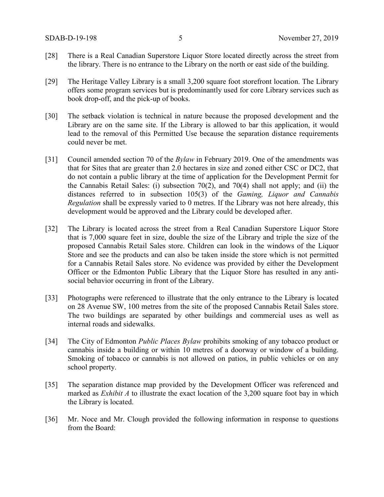- [28] There is a Real Canadian Superstore Liquor Store located directly across the street from the library. There is no entrance to the Library on the north or east side of the building.
- [29] The Heritage Valley Library is a small 3,200 square foot storefront location. The Library offers some program services but is predominantly used for core Library services such as book drop-off, and the pick-up of books.
- [30] The setback violation is technical in nature because the proposed development and the Library are on the same site. If the Library is allowed to bar this application, it would lead to the removal of this Permitted Use because the separation distance requirements could never be met.
- [31] Council amended section 70 of the *Bylaw* in February 2019. One of the amendments was that for Sites that are greater than 2.0 hectares in size and zoned either CSC or DC2, that do not contain a public library at the time of application for the Development Permit for the Cannabis Retail Sales: (i) subsection 70(2), and 70(4) shall not apply; and (ii) the distances referred to in subsection 105(3) of the *Gaming, Liquor and Cannabis Regulation* shall be expressly varied to 0 metres. If the Library was not here already, this development would be approved and the Library could be developed after.
- [32] The Library is located across the street from a Real Canadian Superstore Liquor Store that is 7,000 square feet in size, double the size of the Library and triple the size of the proposed Cannabis Retail Sales store. Children can look in the windows of the Liquor Store and see the products and can also be taken inside the store which is not permitted for a Cannabis Retail Sales store. No evidence was provided by either the Development Officer or the Edmonton Public Library that the Liquor Store has resulted in any antisocial behavior occurring in front of the Library.
- [33] Photographs were referenced to illustrate that the only entrance to the Library is located on 28 Avenue SW, 100 metres from the site of the proposed Cannabis Retail Sales store. The two buildings are separated by other buildings and commercial uses as well as internal roads and sidewalks.
- [34] The City of Edmonton *Public Places Bylaw* prohibits smoking of any tobacco product or cannabis inside a building or within 10 metres of a doorway or window of a building. Smoking of tobacco or cannabis is not allowed on patios, in public vehicles or on any school property.
- [35] The separation distance map provided by the Development Officer was referenced and marked as *Exhibit A* to illustrate the exact location of the 3,200 square foot bay in which the Library is located.
- [36] Mr. Noce and Mr. Clough provided the following information in response to questions from the Board: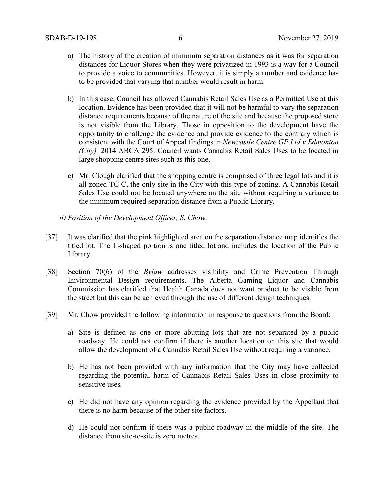- a) The history of the creation of minimum separation distances as it was for separation distances for Liquor Stores when they were privatized in 1993 is a way for a Council to provide a voice to communities. However, it is simply a number and evidence has to be provided that varying that number would result in harm.
- b) In this case, Council has allowed Cannabis Retail Sales Use as a Permitted Use at this location. Evidence has been provided that it will not be harmful to vary the separation distance requirements because of the nature of the site and because the proposed store is not visible from the Library. Those in opposition to the development have the opportunity to challenge the evidence and provide evidence to the contrary which is consistent with the Court of Appeal findings in *Newcastle Centre GP Ltd v Edmonton (City),* 2014 ABCA 295. Council wants Cannabis Retail Sales Uses to be located in large shopping centre sites such as this one.
- c) Mr. Clough clarified that the shopping centre is comprised of three legal lots and it is all zoned TC-C, the only site in the City with this type of zoning. A Cannabis Retail Sales Use could not be located anywhere on the site without requiring a variance to the minimum required separation distance from a Public Library.
- *ii) Position of the Development Officer, S. Chow:*
- [37] It was clarified that the pink highlighted area on the separation distance map identifies the titled lot. The L-shaped portion is one titled lot and includes the location of the Public Library.
- [38] Section 70(6) of the *Bylaw* addresses visibility and Crime Prevention Through Environmental Design requirements. The Alberta Gaming Liquor and Cannabis Commission has clarified that Health Canada does not want product to be visible from the street but this can be achieved through the use of different design techniques.
- [39] Mr. Chow provided the following information in response to questions from the Board:
	- a) Site is defined as one or more abutting lots that are not separated by a public roadway. He could not confirm if there is another location on this site that would allow the development of a Cannabis Retail Sales Use without requiring a variance.
	- b) He has not been provided with any information that the City may have collected regarding the potential harm of Cannabis Retail Sales Uses in close proximity to sensitive uses.
	- c) He did not have any opinion regarding the evidence provided by the Appellant that there is no harm because of the other site factors.
	- d) He could not confirm if there was a public roadway in the middle of the site. The distance from site-to-site is zero metres.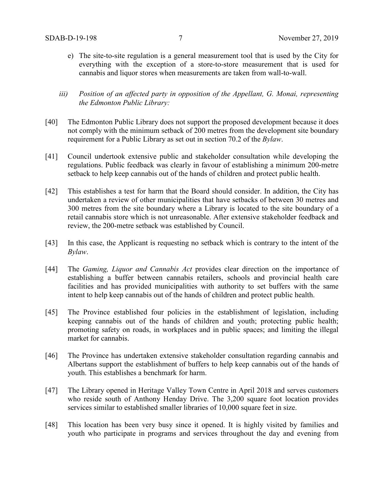- e) The site-to-site regulation is a general measurement tool that is used by the City for everything with the exception of a store-to-store measurement that is used for cannabis and liquor stores when measurements are taken from wall-to-wall.
- *iii) Position of an affected party in opposition of the Appellant, G. Monai, representing the Edmonton Public Library:*
- [40] The Edmonton Public Library does not support the proposed development because it does not comply with the minimum setback of 200 metres from the development site boundary requirement for a Public Library as set out in section 70.2 of the *Bylaw*.
- [41] Council undertook extensive public and stakeholder consultation while developing the regulations. Public feedback was clearly in favour of establishing a minimum 200-metre setback to help keep cannabis out of the hands of children and protect public health.
- [42] This establishes a test for harm that the Board should consider. In addition, the City has undertaken a review of other municipalities that have setbacks of between 30 metres and 300 metres from the site boundary where a Library is located to the site boundary of a retail cannabis store which is not unreasonable. After extensive stakeholder feedback and review, the 200-metre setback was established by Council.
- [43] In this case, the Applicant is requesting no setback which is contrary to the intent of the *Bylaw*.
- [44] The *Gaming, Liquor and Cannabis Act* provides clear direction on the importance of establishing a buffer between cannabis retailers, schools and provincial health care facilities and has provided municipalities with authority to set buffers with the same intent to help keep cannabis out of the hands of children and protect public health.
- [45] The Province established four policies in the establishment of legislation, including keeping cannabis out of the hands of children and youth; protecting public health; promoting safety on roads, in workplaces and in public spaces; and limiting the illegal market for cannabis.
- [46] The Province has undertaken extensive stakeholder consultation regarding cannabis and Albertans support the establishment of buffers to help keep cannabis out of the hands of youth. This establishes a benchmark for harm.
- [47] The Library opened in Heritage Valley Town Centre in April 2018 and serves customers who reside south of Anthony Henday Drive. The 3,200 square foot location provides services similar to established smaller libraries of 10,000 square feet in size.
- [48] This location has been very busy since it opened. It is highly visited by families and youth who participate in programs and services throughout the day and evening from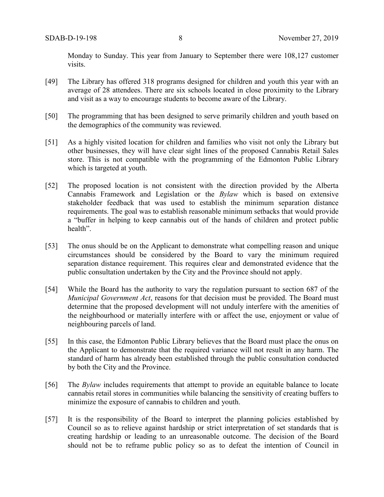Monday to Sunday. This year from January to September there were 108,127 customer visits.

- [49] The Library has offered 318 programs designed for children and youth this year with an average of 28 attendees. There are six schools located in close proximity to the Library and visit as a way to encourage students to become aware of the Library.
- [50] The programming that has been designed to serve primarily children and youth based on the demographics of the community was reviewed.
- [51] As a highly visited location for children and families who visit not only the Library but other businesses, they will have clear sight lines of the proposed Cannabis Retail Sales store. This is not compatible with the programming of the Edmonton Public Library which is targeted at youth.
- [52] The proposed location is not consistent with the direction provided by the Alberta Cannabis Framework and Legislation or the *Bylaw* which is based on extensive stakeholder feedback that was used to establish the minimum separation distance requirements. The goal was to establish reasonable minimum setbacks that would provide a "buffer in helping to keep cannabis out of the hands of children and protect public health".
- [53] The onus should be on the Applicant to demonstrate what compelling reason and unique circumstances should be considered by the Board to vary the minimum required separation distance requirement. This requires clear and demonstrated evidence that the public consultation undertaken by the City and the Province should not apply.
- [54] While the Board has the authority to vary the regulation pursuant to section 687 of the *Municipal Government Act*, reasons for that decision must be provided. The Board must determine that the proposed development will not unduly interfere with the amenities of the neighbourhood or materially interfere with or affect the use, enjoyment or value of neighbouring parcels of land.
- [55] In this case, the Edmonton Public Library believes that the Board must place the onus on the Applicant to demonstrate that the required variance will not result in any harm. The standard of harm has already been established through the public consultation conducted by both the City and the Province.
- [56] The *Bylaw* includes requirements that attempt to provide an equitable balance to locate cannabis retail stores in communities while balancing the sensitivity of creating buffers to minimize the exposure of cannabis to children and youth.
- [57] It is the responsibility of the Board to interpret the planning policies established by Council so as to relieve against hardship or strict interpretation of set standards that is creating hardship or leading to an unreasonable outcome. The decision of the Board should not be to reframe public policy so as to defeat the intention of Council in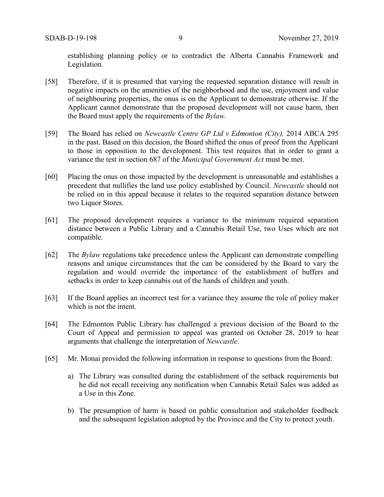establishing planning policy or to contradict the Alberta Cannabis Framework and Legislation.

- [58] Therefore, if it is presumed that varying the requested separation distance will result in negative impacts on the amenities of the neighborhood and the use, enjoyment and value of neighbouring properties, the onus is on the Applicant to demonstrate otherwise. If the Applicant cannot demonstrate that the proposed development will not cause harm, then the Board must apply the requirements of the *Bylaw*.
- [59] The Board has relied on *Newcastle Centre GP Ltd v Edmonton (City),* 2014 ABCA 295 in the past. Based on this decision, the Board shifted the onus of proof from the Applicant to those in opposition to the development. This test requires that in order to grant a variance the test in section 687 of the *Municipal Government Act* must be met.
- [60] Placing the onus on those impacted by the development is unreasonable and establishes a precedent that nullifies the land use policy established by Council. *Newcastle* should not be relied on in this appeal because it relates to the required separation distance between two Liquor Stores.
- [61] The proposed development requires a variance to the minimum required separation distance between a Public Library and a Cannabis Retail Use, two Uses which are not compatible.
- [62] The *Bylaw* regulations take precedence unless the Applicant can demonstrate compelling reasons and unique circumstances that the can be considered by the Board to vary the regulation and would override the importance of the establishment of buffers and setbacks in order to keep cannabis out of the hands of children and youth.
- [63] If the Board applies an incorrect test for a variance they assume the role of policy maker which is not the intent.
- [64] The Edmonton Public Library has challenged a previous decision of the Board to the Court of Appeal and permission to appeal was granted on October 28, 2019 to hear arguments that challenge the interpretation of *Newcastle*.
- [65] Mr. Monai provided the following information in response to questions from the Board:
	- a) The Library was consulted during the establishment of the setback requirements but he did not recall receiving any notification when Cannabis Retail Sales was added as a Use in this Zone.
	- b) The presumption of harm is based on public consultation and stakeholder feedback and the subsequent legislation adopted by the Province and the City to protect youth.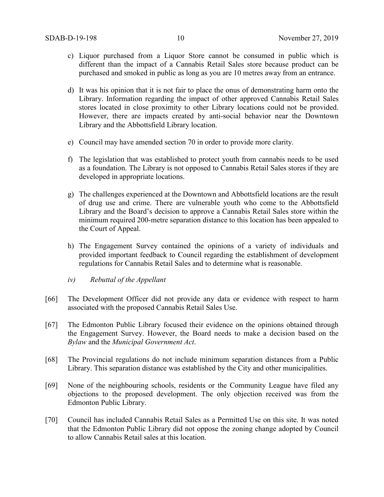- c) Liquor purchased from a Liquor Store cannot be consumed in public which is different than the impact of a Cannabis Retail Sales store because product can be purchased and smoked in public as long as you are 10 metres away from an entrance.
- d) It was his opinion that it is not fair to place the onus of demonstrating harm onto the Library. Information regarding the impact of other approved Cannabis Retail Sales stores located in close proximity to other Library locations could not be provided. However, there are impacts created by anti-social behavior near the Downtown Library and the Abbottsfield Library location.
- e) Council may have amended section 70 in order to provide more clarity.
- f) The legislation that was established to protect youth from cannabis needs to be used as a foundation. The Library is not opposed to Cannabis Retail Sales stores if they are developed in appropriate locations.
- g) The challenges experienced at the Downtown and Abbottsfield locations are the result of drug use and crime. There are vulnerable youth who come to the Abbottsfield Library and the Board's decision to approve a Cannabis Retail Sales store within the minimum required 200-metre separation distance to this location has been appealed to the Court of Appeal.
- h) The Engagement Survey contained the opinions of a variety of individuals and provided important feedback to Council regarding the establishment of development regulations for Cannabis Retail Sales and to determine what is reasonable.
- *iv) Rebuttal of the Appellant*
- [66] The Development Officer did not provide any data or evidence with respect to harm associated with the proposed Cannabis Retail Sales Use.
- [67] The Edmonton Public Library focused their evidence on the opinions obtained through the Engagement Survey. However, the Board needs to make a decision based on the *Bylaw* and the *Municipal Government Act*.
- [68] The Provincial regulations do not include minimum separation distances from a Public Library. This separation distance was established by the City and other municipalities.
- [69] None of the neighbouring schools, residents or the Community League have filed any objections to the proposed development. The only objection received was from the Edmonton Public Library.
- [70] Council has included Cannabis Retail Sales as a Permitted Use on this site. It was noted that the Edmonton Public Library did not oppose the zoning change adopted by Council to allow Cannabis Retail sales at this location.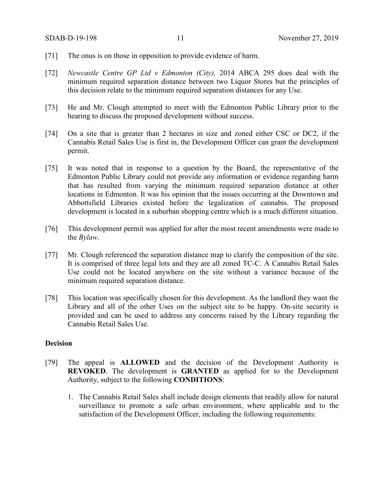- [71] The onus is on those in opposition to provide evidence of harm.
- [72] *Newcastle Centre GP Ltd v Edmonton (City),* 2014 ABCA 295 does deal with the minimum required separation distance between two Liquor Stores but the principles of this decision relate to the minimum required separation distances for any Use.
- [73] He and Mr. Clough attempted to meet with the Edmonton Public Library prior to the hearing to discuss the proposed development without success.
- [74] On a site that is greater than 2 hectares in size and zoned either CSC or DC2, if the Cannabis Retail Sales Use is first in, the Development Officer can grant the development permit.
- [75] It was noted that in response to a question by the Board, the representative of the Edmonton Public Library could not provide any information or evidence regarding harm that has resulted from varying the minimum required separation distance at other locations in Edmonton. It was his opinion that the issues occurring at the Downtown and Abbottsfield Libraries existed before the legalization of cannabis. The proposed development is located in a suburban shopping centre which is a much different situation.
- [76] This development permit was applied for after the most recent amendments were made to the *Bylaw*.
- [77] Mr. Clough referenced the separation distance map to clarify the composition of the site. It is comprised of three legal lots and they are all zoned TC-C. A Cannabis Retail Sales Use could not be located anywhere on the site without a variance because of the minimum required separation distance.
- [78] This location was specifically chosen for this development. As the landlord they want the Library and all of the other Uses on the subject site to be happy. On-site security is provided and can be used to address any concerns raised by the Library regarding the Cannabis Retail Sales Use.

### **Decision**

- [79] The appeal is **ALLOWED** and the decision of the Development Authority is **REVOKED**. The development is **GRANTED** as applied for to the Development Authority, subject to the following **CONDITIONS**:
	- 1. The Cannabis Retail Sales shall include design elements that readily allow for natural surveillance to promote a safe urban environment, where applicable and to the satisfaction of the Development Officer, including the following requirements: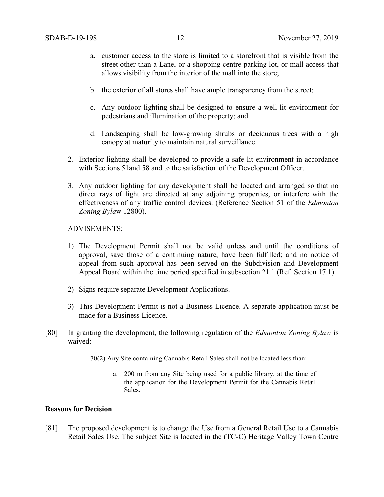- a. customer access to the store is limited to a storefront that is visible from the street other than a Lane, or a shopping centre parking lot, or mall access that allows visibility from the interior of the mall into the store;
- b. the exterior of all stores shall have ample transparency from the street;
- c. Any outdoor lighting shall be designed to ensure a well-lit environment for pedestrians and illumination of the property; and
- d. Landscaping shall be low-growing shrubs or deciduous trees with a high canopy at maturity to maintain natural surveillance.
- 2. Exterior lighting shall be developed to provide a safe lit environment in accordance with Sections 51and 58 and to the satisfaction of the Development Officer.
- 3. Any outdoor lighting for any development shall be located and arranged so that no direct rays of light are directed at any adjoining properties, or interfere with the effectiveness of any traffic control devices. (Reference Section 51 of the *Edmonton Zoning Byla*w 12800).

#### ADVISEMENTS:

- 1) The Development Permit shall not be valid unless and until the conditions of approval, save those of a continuing nature, have been fulfilled; and no notice of appeal from such approval has been served on the Subdivision and Development Appeal Board within the time period specified in subsection 21.1 (Ref. Section 17.1).
- 2) Signs require separate Development Applications.
- 3) This Development Permit is not a Business Licence. A separate application must be made for a Business Licence.
- [80] In granting the development, the following regulation of the *Edmonton Zoning Bylaw* is waived:

70(2) Any Site containing Cannabis Retail Sales shall not be located less than:

a. 200 m from any Site being used for a public library, at the time of the application for the Development Permit for the Cannabis Retail Sales.

## **Reasons for Decision**

[81] The proposed development is to change the Use from a General Retail Use to a Cannabis Retail Sales Use. The subject Site is located in the (TC-C) Heritage Valley Town Centre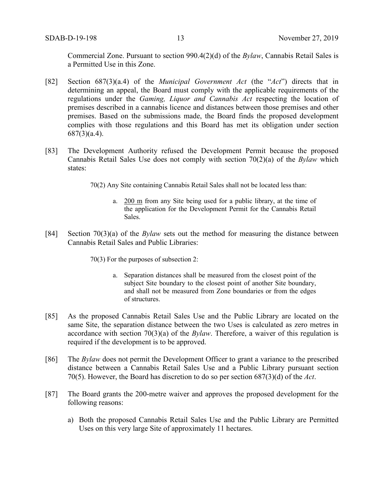Commercial Zone. Pursuant to section 990.4(2)(d) of the *Bylaw*, Cannabis Retail Sales is a Permitted Use in this Zone.

- [82] Section 687(3)(a.4) of the *Municipal Government Act* (the "*Act*") directs that in determining an appeal, the Board must comply with the applicable requirements of the regulations under the *Gaming, Liquor and Cannabis Act* respecting the location of premises described in a cannabis licence and distances between those premises and other premises. Based on the submissions made, the Board finds the proposed development complies with those regulations and this Board has met its obligation under section 687(3)(a.4).
- [83] The Development Authority refused the Development Permit because the proposed Cannabis Retail Sales Use does not comply with section 70(2)(a) of the *Bylaw* which states:

70(2) Any Site containing Cannabis Retail Sales shall not be located less than:

- a. 200 m from any Site being used for a public library, at the time of the application for the Development Permit for the Cannabis Retail Sales.
- [84] Section 70(3)(a) of the *Bylaw* sets out the method for measuring the distance between Cannabis Retail Sales and Public Libraries:

70(3) For the purposes of subsection 2:

- a. Separation distances shall be measured from the closest point of the subject Site boundary to the closest point of another Site boundary, and shall not be measured from Zone boundaries or from the edges of structures.
- [85] As the proposed Cannabis Retail Sales Use and the Public Library are located on the same Site, the separation distance between the two Uses is calculated as zero metres in accordance with section 70(3)(a) of the *Bylaw*. Therefore, a waiver of this regulation is required if the development is to be approved.
- [86] The *Bylaw* does not permit the Development Officer to grant a variance to the prescribed distance between a Cannabis Retail Sales Use and a Public Library pursuant section 70(5). However, the Board has discretion to do so per section 687(3)(d) of the *Act*.
- [87] The Board grants the 200-metre waiver and approves the proposed development for the following reasons:
	- a) Both the proposed Cannabis Retail Sales Use and the Public Library are Permitted Uses on this very large Site of approximately 11 hectares.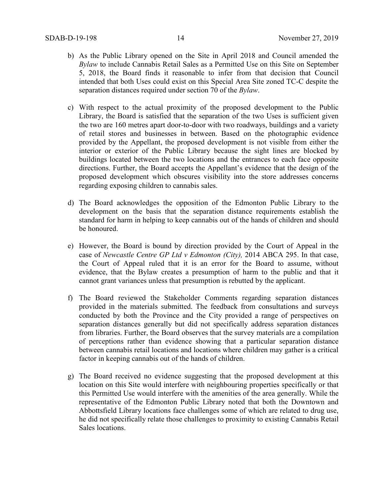- b) As the Public Library opened on the Site in April 2018 and Council amended the *Bylaw* to include Cannabis Retail Sales as a Permitted Use on this Site on September 5, 2018, the Board finds it reasonable to infer from that decision that Council intended that both Uses could exist on this Special Area Site zoned TC-C despite the separation distances required under section 70 of the *Bylaw*.
- c) With respect to the actual proximity of the proposed development to the Public Library, the Board is satisfied that the separation of the two Uses is sufficient given the two are 160 metres apart door-to-door with two roadways, buildings and a variety of retail stores and businesses in between. Based on the photographic evidence provided by the Appellant, the proposed development is not visible from either the interior or exterior of the Public Library because the sight lines are blocked by buildings located between the two locations and the entrances to each face opposite directions. Further, the Board accepts the Appellant's evidence that the design of the proposed development which obscures visibility into the store addresses concerns regarding exposing children to cannabis sales.
- d) The Board acknowledges the opposition of the Edmonton Public Library to the development on the basis that the separation distance requirements establish the standard for harm in helping to keep cannabis out of the hands of children and should be honoured.
- e) However, the Board is bound by direction provided by the Court of Appeal in the case of *Newcastle Centre GP Ltd v Edmonton (City),* 2014 ABCA 295. In that case, the Court of Appeal ruled that it is an error for the Board to assume, without evidence, that the Bylaw creates a presumption of harm to the public and that it cannot grant variances unless that presumption is rebutted by the applicant.
- f) The Board reviewed the Stakeholder Comments regarding separation distances provided in the materials submitted. The feedback from consultations and surveys conducted by both the Province and the City provided a range of perspectives on separation distances generally but did not specifically address separation distances from libraries. Further, the Board observes that the survey materials are a compilation of perceptions rather than evidence showing that a particular separation distance between cannabis retail locations and locations where children may gather is a critical factor in keeping cannabis out of the hands of children.
- g) The Board received no evidence suggesting that the proposed development at this location on this Site would interfere with neighbouring properties specifically or that this Permitted Use would interfere with the amenities of the area generally. While the representative of the Edmonton Public Library noted that both the Downtown and Abbottsfield Library locations face challenges some of which are related to drug use, he did not specifically relate those challenges to proximity to existing Cannabis Retail Sales locations.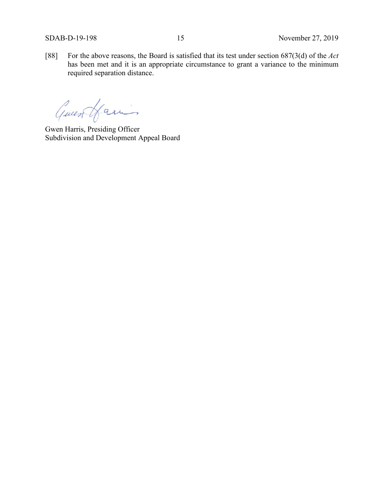[88] For the above reasons, the Board is satisfied that its test under section 687(3(d) of the *Act*  has been met and it is an appropriate circumstance to grant a variance to the minimum required separation distance.

Guess Harin

Gwen Harris, Presiding Officer Subdivision and Development Appeal Board